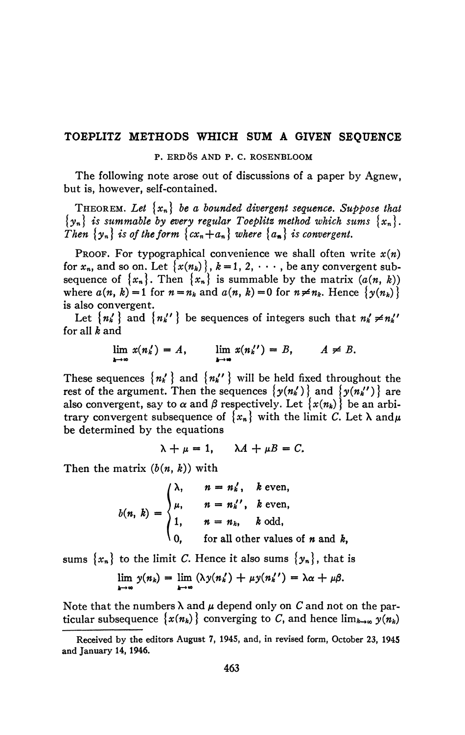## **TOEPLITZ METHODS WHICH SUM A GIVEN SEQUENCE**

## **P. ERDÖS AND P. C. ROSENBLOOM**

The following note arose out of discussions of a paper by Agnew, but is, however, self-contained.

THEOREM. Let  $\{x_n\}$  be a bounded divergent sequence. Suppose that  $\{y_n\}$  is summable by every regular Toeplitz method which sums  $\{x_n\}$ . *Then*  $\{y_n\}$  *is of the form*  $\{cx_n+a_n\}$  *where*  $\{a_n\}$  *is convergent.* 

PROOF. For typographical convenience we shall often write  $x(n)$ for  $x_n$ , and so on. Let  $\{x(n_k)\}, k=1, 2, \cdots$ , be any convergent subsequence of  $\{x_n\}$ . Then  $\{x_n\}$  is summable by the matrix  $(a(n, k))$ where  $a(n, k) = 1$  for  $n = n_k$  and  $a(n, k) = 0$  for  $n \neq n_k$ . Hence  $\{y(n_k)\}$ is also convergent.

Let  $\{n_k' \}$  and  $\{n_{k'}' \}$  be sequences of integers such that  $n_k' \neq n_{k'}'$ for all *k* and

$$
\lim_{k\to\infty} x(n'_k) = A, \qquad \lim_{k\to\infty} x(n''_k) = B, \qquad A \neq B.
$$

These sequences  $\{n_k'\}$  and  $\{n_k''\}$  will be held fixed throughout the rest of the argument. Then the sequences  $\{y(n'_k)\}$  and  $\{y(n'_{k'})\}$  are also convergent, say to  $\alpha$  and  $\beta$  respectively. Let  $\{x(n_k)\}\)$  be an arbitrary convergent subsequence of  $\{x_n\}$  with the limit C. Let  $\lambda$  and  $\mu$ be determined by the equations

$$
\lambda + \mu = 1, \quad \lambda A + \mu B = C.
$$

Then the matrix *(b(n, k))* with

$$
b(n, k) = \begin{cases} \lambda, & n = n'_k, \quad k \text{ even,} \\ \mu, & n = n'_k', \quad k \text{ even,} \\ 1, & n = n_k, \quad k \text{ odd,} \\ 0, & \text{for all other values of } n \text{ and } k, \end{cases}
$$

sums  $\{x_n\}$  to the limit C. Hence it also sums  $\{y_n\}$ , that is

$$
\lim_{k\to\infty} y(n_k) = \lim_{k\to\infty} (\lambda y(n'_k) + \mu y(n''_k)) = \lambda \alpha + \mu \beta.
$$

Note that the numbers  $\lambda$  and  $\mu$  depend only on  $C$  and not on the particular subsequence  $\{x(n_k)\}\$ converging to C, and hence  $\lim_{k\to\infty} y(n_k)$ 

**Received by the editors August 7, 1945, and, in revised form, October 23, 1945 and January 14, 1946.**